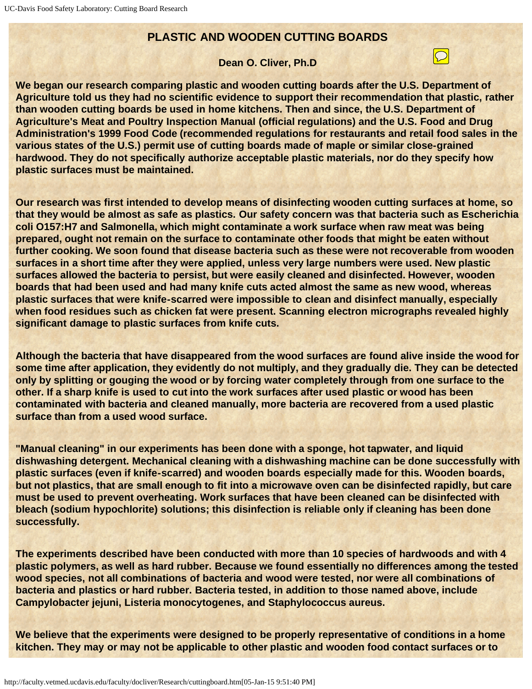## **PLASTIC AND WOODEN CUTTING BOARDS**

## **Dean O. Cliver, Ph.D**

 $\boxed{\bigcirc}$ 

**We began our research comparing plastic and wooden cutting boards after the U.S. Department of Agriculture told us they had no scientific evidence to support their recommendation that plastic, rather than wooden cutting boards be used in home kitchens. Then and since, the U.S. Department of Agriculture's Meat and Poultry Inspection Manual (official regulations) and the U.S. Food and Drug Administration's 1999 Food Code (recommended regulations for restaurants and retail food sales in the various states of the U.S.) permit use of cutting boards made of maple or similar close-grained hardwood. They do not specifically authorize acceptable plastic materials, nor do they specify how plastic surfaces must be maintained.**

**Our research was first intended to develop means of disinfecting wooden cutting surfaces at home, so that they would be almost as safe as plastics. Our safety concern was that bacteria such as Escherichia coli O157:H7 and Salmonella, which might contaminate a work surface when raw meat was being prepared, ought not remain on the surface to contaminate other foods that might be eaten without further cooking. We soon found that disease bacteria such as these were not recoverable from wooden surfaces in a short time after they were applied, unless very large numbers were used. New plastic surfaces allowed the bacteria to persist, but were easily cleaned and disinfected. However, wooden boards that had been used and had many knife cuts acted almost the same as new wood, whereas plastic surfaces that were knife-scarred were impossible to clean and disinfect manually, especially when food residues such as chicken fat were present. Scanning electron micrographs revealed highly significant damage to plastic surfaces from knife cuts.**

**Although the bacteria that have disappeared from the wood surfaces are found alive inside the wood for some time after application, they evidently do not multiply, and they gradually die. They can be detected only by splitting or gouging the wood or by forcing water completely through from one surface to the other. If a sharp knife is used to cut into the work surfaces after used plastic or wood has been contaminated with bacteria and cleaned manually, more bacteria are recovered from a used plastic surface than from a used wood surface.**

**"Manual cleaning" in our experiments has been done with a sponge, hot tapwater, and liquid dishwashing detergent. Mechanical cleaning with a dishwashing machine can be done successfully with plastic surfaces (even if knife-scarred) and wooden boards especially made for this. Wooden boards, but not plastics, that are small enough to fit into a microwave oven can be disinfected rapidly, but care must be used to prevent overheating. Work surfaces that have been cleaned can be disinfected with bleach (sodium hypochlorite) solutions; this disinfection is reliable only if cleaning has been done successfully.**

**The experiments described have been conducted with more than 10 species of hardwoods and with 4 plastic polymers, as well as hard rubber. Because we found essentially no differences among the tested wood species, not all combinations of bacteria and wood were tested, nor were all combinations of bacteria and plastics or hard rubber. Bacteria tested, in addition to those named above, include Campylobacter jejuni, Listeria monocytogenes, and Staphylococcus aureus.**

**We believe that the experiments were designed to be properly representative of conditions in a home kitchen. They may or may not be applicable to other plastic and wooden food contact surfaces or to**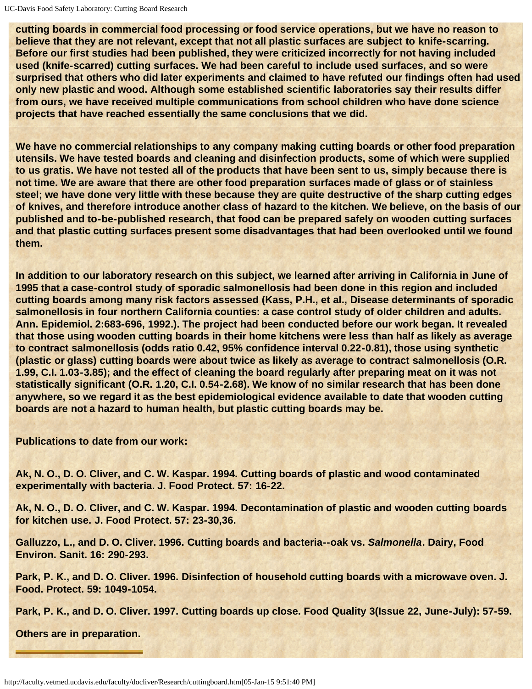**cutting boards in commercial food processing or food service operations, but we have no reason to believe that they are not relevant, except that not all plastic surfaces are subject to knife-scarring. Before our first studies had been published, they were criticized incorrectly for not having included used (knife-scarred) cutting surfaces. We had been careful to include used surfaces, and so were surprised that others who did later experiments and claimed to have refuted our findings often had used only new plastic and wood. Although some established scientific laboratories say their results differ from ours, we have received multiple communications from school children who have done science projects that have reached essentially the same conclusions that we did.**

**We have no commercial relationships to any company making cutting boards or other food preparation utensils. We have tested boards and cleaning and disinfection products, some of which were supplied to us gratis. We have not tested all of the products that have been sent to us, simply because there is not time. We are aware that there are other food preparation surfaces made of glass or of stainless steel; we have done very little with these because they are quite destructive of the sharp cutting edges of knives, and therefore introduce another class of hazard to the kitchen. We believe, on the basis of our published and to-be-published research, that food can be prepared safely on wooden cutting surfaces and that plastic cutting surfaces present some disadvantages that had been overlooked until we found them.**

**In addition to our laboratory research on this subject, we learned after arriving in California in June of 1995 that a case-control study of sporadic salmonellosis had been done in this region and included cutting boards among many risk factors assessed (Kass, P.H., et al., Disease determinants of sporadic salmonellosis in four northern California counties: a case control study of older children and adults. Ann. Epidemiol. 2:683-696, 1992.). The project had been conducted before our work began. It revealed that those using wooden cutting boards in their home kitchens were less than half as likely as average to contract salmonellosis (odds ratio 0.42, 95% confidence interval 0.22-0.81), those using synthetic (plastic or glass) cutting boards were about twice as likely as average to contract salmonellosis (O.R. 1.99, C.I. 1.03-3.85); and the effect of cleaning the board regularly after preparing meat on it was not statistically significant (O.R. 1.20, C.I. 0.54-2.68). We know of no similar research that has been done anywhere, so we regard it as the best epidemiological evidence available to date that wooden cutting boards are not a hazard to human health, but plastic cutting boards may be.**

**Publications to date from our work:**

**Ak, N. O., D. O. Cliver, and C. W. Kaspar. 1994. Cutting boards of plastic and wood contaminated experimentally with bacteria. J. Food Protect. 57: 16-22.**

**Ak, N. O., D. O. Cliver, and C. W. Kaspar. 1994. Decontamination of plastic and wooden cutting boards for kitchen use. J. Food Protect. 57: 23-30,36.**

**Galluzzo, L., and D. O. Cliver. 1996. Cutting boards and bacteria--oak vs.** *Salmonella***. Dairy, Food Environ. Sanit. 16: 290-293.**

**Park, P. K., and D. O. Cliver. 1996. Disinfection of household cutting boards with a microwave oven. J. Food. Protect. 59: 1049-1054.**

**Park, P. K., and D. O. Cliver. 1997. Cutting boards up close. Food Quality 3(Issue 22, June-July): 57-59.**

**Others are in preparation.**